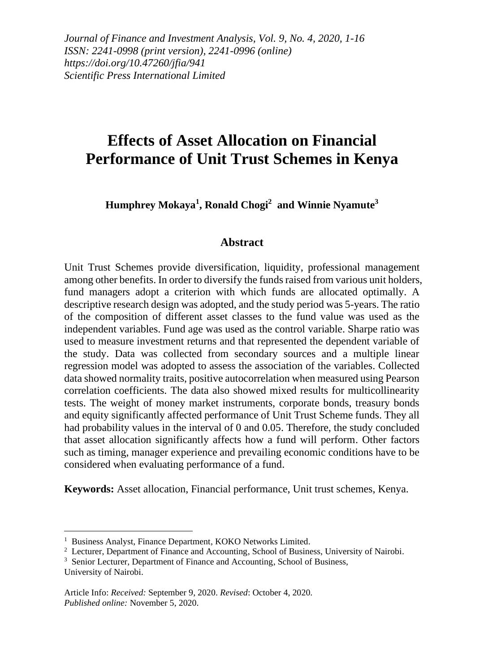*Journal of Finance and Investment Analysis, Vol. 9, No. 4, 2020, 1-16 ISSN: 2241-0998 (print version), 2241-0996 (online) https://doi.org/10.47260/jfia/941 Scientific Press International Limited*

# **Effects of Asset Allocation on Financial Performance of Unit Trust Schemes in Kenya**

**Humphrey Mokaya<sup>1</sup> , Ronald Chogi<sup>2</sup> and Winnie Nyamute<sup>3</sup>**

#### **Abstract**

Unit Trust Schemes provide diversification, liquidity, professional management among other benefits. In order to diversify the funds raised from various unit holders, fund managers adopt a criterion with which funds are allocated optimally. A descriptive research design was adopted, and the study period was 5-years. The ratio of the composition of different asset classes to the fund value was used as the independent variables. Fund age was used as the control variable. Sharpe ratio was used to measure investment returns and that represented the dependent variable of the study. Data was collected from secondary sources and a multiple linear regression model was adopted to assess the association of the variables. Collected data showed normality traits, positive autocorrelation when measured using Pearson correlation coefficients. The data also showed mixed results for multicollinearity tests. The weight of money market instruments, corporate bonds, treasury bonds and equity significantly affected performance of Unit Trust Scheme funds. They all had probability values in the interval of 0 and 0.05. Therefore, the study concluded that asset allocation significantly affects how a fund will perform. Other factors such as timing, manager experience and prevailing economic conditions have to be considered when evaluating performance of a fund.

**Keywords:** Asset allocation, Financial performance, Unit trust schemes, Kenya.

University of Nairobi.

<sup>&</sup>lt;sup>1</sup> Business Analyst, Finance Department, KOKO Networks Limited.

<sup>&</sup>lt;sup>2</sup> Lecturer, Department of Finance and Accounting, School of Business, University of Nairobi.

<sup>&</sup>lt;sup>3</sup> Senior Lecturer, Department of Finance and Accounting, School of Business,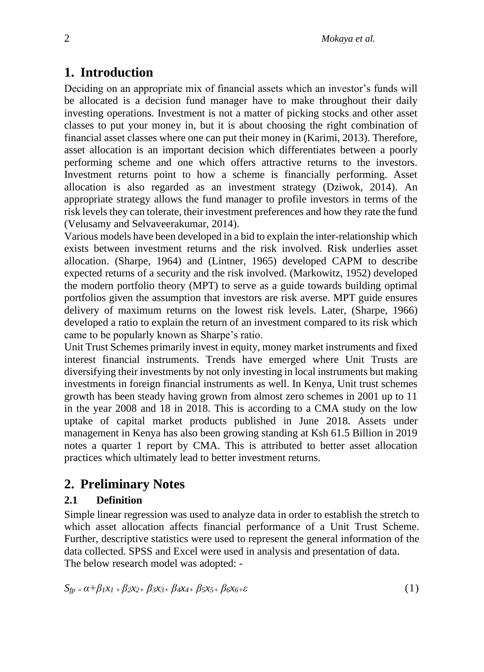## **1. Introduction**

Deciding on an appropriate mix of financial assets which an investor's funds will be allocated is a decision fund manager have to make throughout their daily investing operations. Investment is not a matter of picking stocks and other asset classes to put your money in, but it is about choosing the right combination of financial asset classes where one can put their money in (Karimi, 2013). Therefore, asset allocation is an important decision which differentiates between a poorly performing scheme and one which offers attractive returns to the investors. Investment returns point to how a scheme is financially performing. Asset allocation is also regarded as an investment strategy (Dziwok, 2014). An appropriate strategy allows the fund manager to profile investors in terms of the risk levels they can tolerate, their investment preferences and how they rate the fund (Velusamy and Selvaveerakumar, 2014).

Various models have been developed in a bid to explain the inter-relationship which exists between investment returns and the risk involved. Risk underlies asset allocation. (Sharpe, 1964) and (Lintner, 1965) developed CAPM to describe expected returns of a security and the risk involved. (Markowitz, 1952) developed the modern portfolio theory (MPT) to serve as a guide towards building optimal portfolios given the assumption that investors are risk averse. MPT guide ensures delivery of maximum returns on the lowest risk levels. Later, (Sharpe, 1966) developed a ratio to explain the return of an investment compared to its risk which came to be popularly known as Sharpe's ratio.

Unit Trust Schemes primarily invest in equity, money market instruments and fixed interest financial instruments. Trends have emerged where Unit Trusts are diversifying their investments by not only investing in local instruments but making investments in foreign financial instruments as well. In Kenya, Unit trust schemes growth has been steady having grown from almost zero schemes in 2001 up to 11 in the year 2008 and 18 in 2018. This is according to a CMA study on the low uptake of capital market products published in June 2018. Assets under management in Kenya has also been growing standing at Ksh 61.5 Billion in 2019 notes a quarter 1 report by CMA. This is attributed to better asset allocation practices which ultimately lead to better investment returns.

## **2. Preliminary Notes**

## **2.1 Definition**

Simple linear regression was used to analyze data in order to establish the stretch to which asset allocation affects financial performance of a Unit Trust Scheme. Further, descriptive statistics were used to represent the general information of the data collected. SPSS and Excel were used in analysis and presentation of data. The below research model was adopted: -

$$
S_{fp} = \alpha + \beta_1 x_1 + \beta_2 x_2 + \beta_3 x_3 + \beta_4 x_4 + \beta_5 x_5 + \beta_6 x_6 + \varepsilon
$$
\n(1)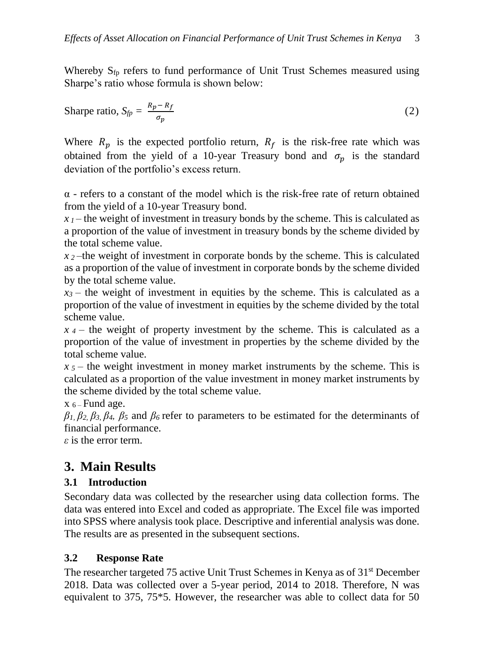Whereby  $S_{fp}$  refers to fund performance of Unit Trust Schemes measured using Sharpe's ratio whose formula is shown below:

$$
\text{Sharpe ratio, } S_{fp} = \frac{R_p - R_f}{\sigma_p} \tag{2}
$$

Where  $R_n$  is the expected portfolio return,  $R_f$  is the risk-free rate which was obtained from the yield of a 10-year Treasury bond and  $\sigma_p$  is the standard deviation of the portfolio's excess return.

α - refers to a constant of the model which is the risk-free rate of return obtained from the yield of a 10-year Treasury bond.

 $x_1$ —the weight of investment in treasury bonds by the scheme. This is calculated as a proportion of the value of investment in treasury bonds by the scheme divided by the total scheme value.

 $x_2$ —the weight of investment in corporate bonds by the scheme. This is calculated as a proportion of the value of investment in corporate bonds by the scheme divided by the total scheme value.

 $x_3$  – the weight of investment in equities by the scheme. This is calculated as a proportion of the value of investment in equities by the scheme divided by the total scheme value.

*x <sup>4</sup>* – the weight of property investment by the scheme. This is calculated as a proportion of the value of investment in properties by the scheme divided by the total scheme value.

*x <sup>5</sup>* – the weight investment in money market instruments by the scheme. This is calculated as a proportion of the value investment in money market instruments by the scheme divided by the total scheme value.

 $x_{6}$ – Fund age.

 $\beta_1$ ,  $\beta_2$ ,  $\beta_3$ ,  $\beta_4$ ,  $\beta_5$  and  $\beta_6$  refer to parameters to be estimated for the determinants of financial performance.

*ε* is the error term.

## **3. Main Results**

### **3.1 Introduction**

Secondary data was collected by the researcher using data collection forms. The data was entered into Excel and coded as appropriate. The Excel file was imported into SPSS where analysis took place. Descriptive and inferential analysis was done. The results are as presented in the subsequent sections.

## **3.2 Response Rate**

The researcher targeted 75 active Unit Trust Schemes in Kenya as of 31<sup>st</sup> December 2018. Data was collected over a 5-year period, 2014 to 2018. Therefore, N was equivalent to 375, 75\*5. However, the researcher was able to collect data for 50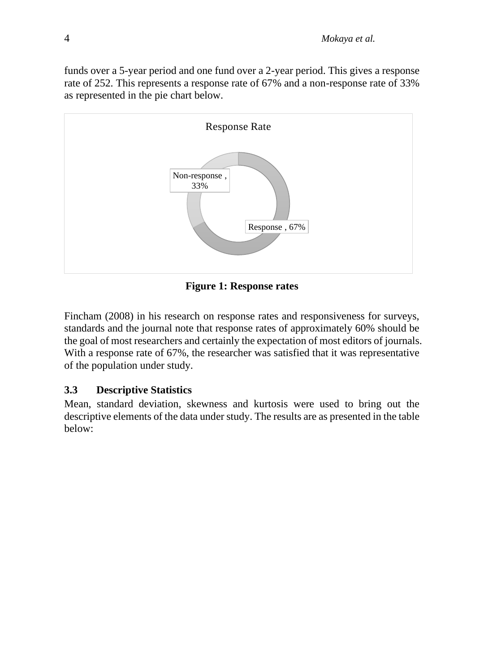funds over a 5-year period and one fund over a 2-year period. This gives a response rate of 252. This represents a response rate of 67% and a non-response rate of 33% as represented in the pie chart below.



**Figure 1: Response rates**

Fincham (2008) in his research on response rates and responsiveness for surveys, standards and the journal note that response rates of approximately 60% should be the goal of most researchers and certainly the expectation of most editors of journals. With a response rate of 67%, the researcher was satisfied that it was representative of the population under study.

### **3.3 Descriptive Statistics**

Mean, standard deviation, skewness and kurtosis were used to bring out the descriptive elements of the data under study. The results are as presented in the table below: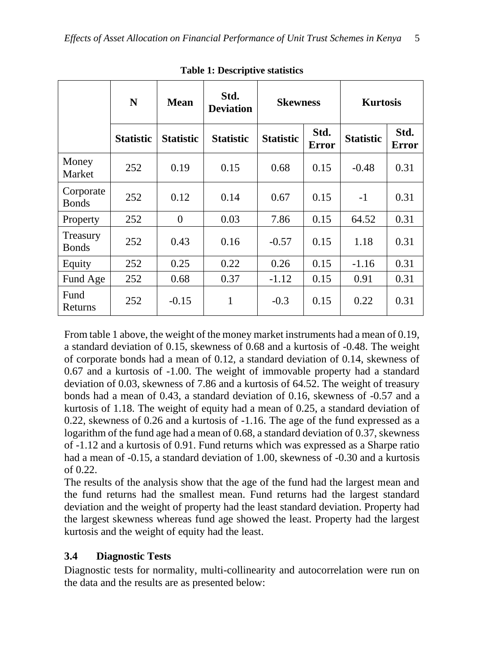|                           | N                | <b>Mean</b>      | Std.<br><b>Deviation</b> | <b>Skewness</b>  |                      | <b>Kurtosis</b>  |                      |  |
|---------------------------|------------------|------------------|--------------------------|------------------|----------------------|------------------|----------------------|--|
|                           | <b>Statistic</b> | <b>Statistic</b> | <b>Statistic</b>         | <b>Statistic</b> | Std.<br><b>Error</b> | <b>Statistic</b> | Std.<br><b>Error</b> |  |
| Money<br>Market           | 252              | 0.19             | 0.15                     | 0.68             | 0.15                 | $-0.48$          | 0.31                 |  |
| Corporate<br><b>Bonds</b> | 252              | 0.12             | 0.14                     | 0.67             | 0.15                 | $-1$             | 0.31                 |  |
| Property                  | 252              | $\Omega$         | 0.03                     | 7.86             | 0.15                 | 64.52            | 0.31                 |  |
| Treasury<br><b>Bonds</b>  | 252              | 0.43             | 0.16                     | $-0.57$          | 0.15                 | 1.18             | 0.31                 |  |
| Equity                    | 252              | 0.25             | 0.22                     | 0.26             | 0.15                 | $-1.16$          | 0.31                 |  |
| Fund Age                  | 252              | 0.68             | 0.37                     | $-1.12$          | 0.15                 | 0.91             | 0.31                 |  |
| Fund<br>Returns           | 252              | $-0.15$          | 1                        | $-0.3$           | 0.15                 | 0.22             | 0.31                 |  |

**Table 1: Descriptive statistics**

From table 1 above, the weight of the money market instruments had a mean of 0.19, a standard deviation of 0.15, skewness of 0.68 and a kurtosis of -0.48. The weight of corporate bonds had a mean of 0.12, a standard deviation of 0.14, skewness of 0.67 and a kurtosis of -1.00. The weight of immovable property had a standard deviation of 0.03, skewness of 7.86 and a kurtosis of 64.52. The weight of treasury bonds had a mean of 0.43, a standard deviation of 0.16, skewness of -0.57 and a kurtosis of 1.18. The weight of equity had a mean of 0.25, a standard deviation of 0.22, skewness of 0.26 and a kurtosis of -1.16. The age of the fund expressed as a logarithm of the fund age had a mean of 0.68, a standard deviation of 0.37, skewness of -1.12 and a kurtosis of 0.91. Fund returns which was expressed as a Sharpe ratio had a mean of -0.15, a standard deviation of 1.00, skewness of -0.30 and a kurtosis of 0.22.

The results of the analysis show that the age of the fund had the largest mean and the fund returns had the smallest mean. Fund returns had the largest standard deviation and the weight of property had the least standard deviation. Property had the largest skewness whereas fund age showed the least. Property had the largest kurtosis and the weight of equity had the least.

### **3.4 Diagnostic Tests**

Diagnostic tests for normality, multi-collinearity and autocorrelation were run on the data and the results are as presented below: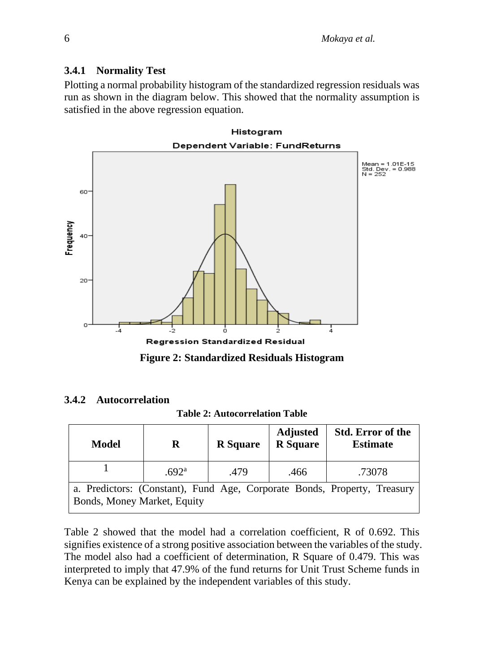#### **3.4.1 Normality Test**

Plotting a normal probability histogram of the standardized regression residuals was run as shown in the diagram below. This showed that the normality assumption is satisfied in the above regression equation.



**Figure 2: Standardized Residuals Histogram**

#### **3.4.2 Autocorrelation**

**Table 2: Autocorrelation Table**

| <b>Model</b>                                                                                            | R                 | <b>R</b> Square | <b>Adjusted</b><br><b>R</b> Square | <b>Std. Error of the</b><br><b>Estimate</b> |  |  |  |  |
|---------------------------------------------------------------------------------------------------------|-------------------|-----------------|------------------------------------|---------------------------------------------|--|--|--|--|
|                                                                                                         | .692 <sup>a</sup> | .479            | .466                               | .73078                                      |  |  |  |  |
| a. Predictors: (Constant), Fund Age, Corporate Bonds, Property, Treasury<br>Bonds, Money Market, Equity |                   |                 |                                    |                                             |  |  |  |  |

Table 2 showed that the model had a correlation coefficient, R of 0.692. This signifies existence of a strong positive association between the variables of the study. The model also had a coefficient of determination, R Square of 0.479. This was interpreted to imply that 47.9% of the fund returns for Unit Trust Scheme funds in Kenya can be explained by the independent variables of this study.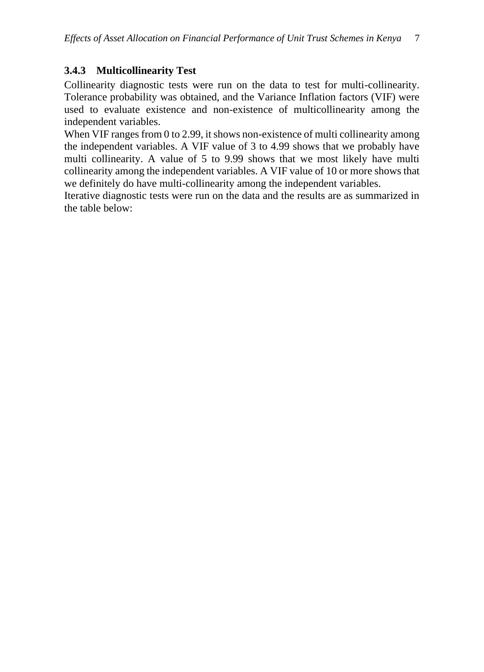### **3.4.3 Multicollinearity Test**

Collinearity diagnostic tests were run on the data to test for multi-collinearity. Tolerance probability was obtained, and the Variance Inflation factors (VIF) were used to evaluate existence and non-existence of multicollinearity among the independent variables.

When VIF ranges from 0 to 2.99, it shows non-existence of multi collinearity among the independent variables. A VIF value of 3 to 4.99 shows that we probably have multi collinearity. A value of 5 to 9.99 shows that we most likely have multi collinearity among the independent variables. A VIF value of 10 or more shows that we definitely do have multi-collinearity among the independent variables.

Iterative diagnostic tests were run on the data and the results are as summarized in the table below: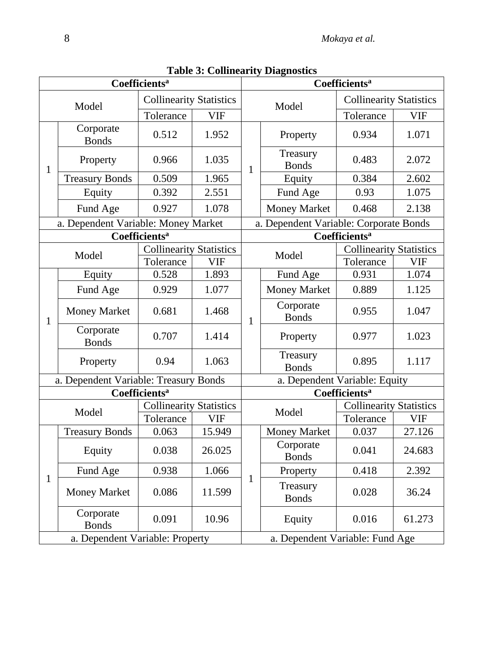|                                 |                                       |                                 |            | radie 3. Commearity Diagnostics<br>Coefficients <sup>a</sup> |                                        |                                |            |  |  |
|---------------------------------|---------------------------------------|---------------------------------|------------|--------------------------------------------------------------|----------------------------------------|--------------------------------|------------|--|--|
| Coefficients <sup>a</sup>       |                                       |                                 |            |                                                              |                                        |                                |            |  |  |
|                                 | Model                                 | <b>Collinearity Statistics</b>  |            |                                                              | Model                                  | <b>Collinearity Statistics</b> |            |  |  |
|                                 |                                       | Tolerance                       | <b>VIF</b> |                                                              |                                        | Tolerance                      | <b>VIF</b> |  |  |
|                                 | Corporate<br><b>Bonds</b>             | 0.512                           | 1.952      |                                                              | Property                               | 0.934                          | 1.071      |  |  |
| $\mathbf{1}$                    | Property                              | 0.966                           | 1.035      | $\mathbf{1}$                                                 | Treasury<br><b>Bonds</b>               | 0.483                          | 2.072      |  |  |
|                                 | <b>Treasury Bonds</b>                 | 0.509                           | 1.965      |                                                              | Equity                                 | 0.384                          | 2.602      |  |  |
|                                 | Equity                                | 0.392                           | 2.551      |                                                              | Fund Age                               | 0.93                           | 1.075      |  |  |
|                                 | Fund Age                              | 0.927                           | 1.078      |                                                              | <b>Money Market</b>                    | 0.468                          | 2.138      |  |  |
|                                 | a. Dependent Variable: Money Market   |                                 |            |                                                              | a. Dependent Variable: Corporate Bonds |                                |            |  |  |
|                                 |                                       | <b>Coefficients<sup>a</sup></b> |            |                                                              |                                        | Coefficients <sup>a</sup>      |            |  |  |
|                                 |                                       | <b>Collinearity Statistics</b>  |            |                                                              |                                        | <b>Collinearity Statistics</b> |            |  |  |
|                                 | Model                                 | Tolerance                       | <b>VIF</b> |                                                              | Model                                  | Tolerance                      | <b>VIF</b> |  |  |
|                                 | Equity                                | 0.528                           | 1.893      |                                                              | Fund Age                               | 0.931                          | 1.074      |  |  |
|                                 | Fund Age                              | 0.929                           | 1.077      | 1                                                            | <b>Money Market</b>                    | 0.889                          | 1.125      |  |  |
| $\mathbf{1}$                    | <b>Money Market</b>                   | 0.681                           | 1.468      |                                                              | Corporate<br><b>Bonds</b>              | 0.955                          | 1.047      |  |  |
|                                 | Corporate<br><b>Bonds</b>             | 0.707                           | 1.414      |                                                              | Property                               | 0.977                          | 1.023      |  |  |
|                                 | Property                              | 0.94                            | 1.063      |                                                              | Treasury<br><b>Bonds</b>               | 0.895                          | 1.117      |  |  |
|                                 | a. Dependent Variable: Treasury Bonds |                                 |            | a. Dependent Variable: Equity                                |                                        |                                |            |  |  |
|                                 |                                       | Coefficients <sup>a</sup>       |            | Coefficients <sup>a</sup>                                    |                                        |                                |            |  |  |
|                                 | Model                                 | <b>Collinearity Statistics</b>  |            |                                                              | Model                                  | <b>Collinearity Statistics</b> |            |  |  |
|                                 |                                       | Tolerance                       | <b>VIF</b> |                                                              |                                        | Tolerance                      | <b>VIF</b> |  |  |
|                                 | <b>Treasury Bonds</b>                 | 0.063                           | 15.949     |                                                              | <b>Money Market</b>                    | 0.037                          | 27.126     |  |  |
|                                 | Equity                                | 0.038                           | 26.025     |                                                              | Corporate<br><b>Bonds</b>              | 0.041                          | 24.683     |  |  |
|                                 | Fund Age                              | 0.938                           | 1.066      |                                                              | Property                               | 0.418                          | 2.392      |  |  |
| $\mathbf{1}$                    | <b>Money Market</b>                   | 0.086                           | 11.599     | 1                                                            | Treasury<br><b>Bonds</b>               | 0.028                          | 36.24      |  |  |
|                                 | Corporate<br><b>Bonds</b>             | 0.091                           | 10.96      |                                                              | Equity                                 | 0.016                          | 61.273     |  |  |
| a. Dependent Variable: Property |                                       |                                 |            |                                                              | a. Dependent Variable: Fund Age        |                                |            |  |  |

**Table 3: Collinearity Diagnostics**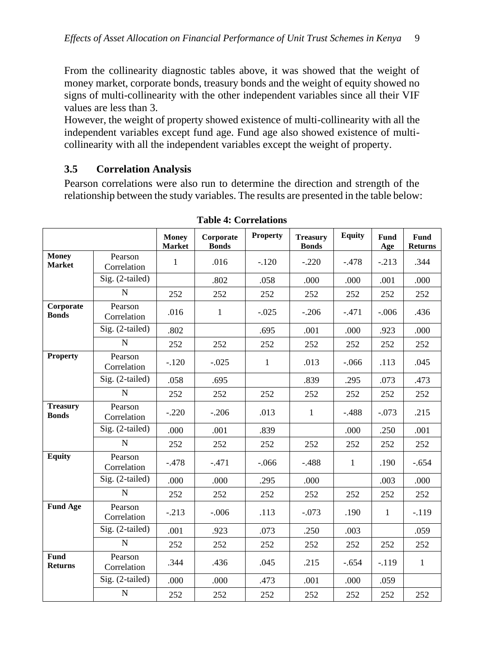From the collinearity diagnostic tables above, it was showed that the weight of money market, corporate bonds, treasury bonds and the weight of equity showed no signs of multi-collinearity with the other independent variables since all their VIF values are less than 3.

However, the weight of property showed existence of multi-collinearity with all the independent variables except fund age. Fund age also showed existence of multicollinearity with all the independent variables except the weight of property.

### **3.5 Correlation Analysis**

Pearson correlations were also run to determine the direction and strength of the relationship between the study variables. The results are presented in the table below:

|                                 |                        | <b>Money</b><br><b>Market</b> | Corporate<br><b>Bonds</b> | <b>Property</b> | <b>Treasury</b><br><b>Bonds</b> | <b>Equity</b> | Fund<br>Age  | <b>Fund</b><br><b>Returns</b> |
|---------------------------------|------------------------|-------------------------------|---------------------------|-----------------|---------------------------------|---------------|--------------|-------------------------------|
| <b>Money</b><br><b>Market</b>   | Pearson<br>Correlation | 1                             | .016                      | $-.120$         | $-.220$                         | $-.478$       | $-.213$      | .344                          |
|                                 | Sig. (2-tailed)        |                               | .802                      | .058            | .000                            | .000          | .001         | .000                          |
|                                 | $\mathbf N$            | 252                           | 252                       | 252             | 252                             | 252           | 252          | 252                           |
| Corporate<br><b>Bonds</b>       | Pearson<br>Correlation | .016                          | $\mathbf{1}$              | $-.025$         | $-.206$                         | $-.471$       | $-.006$      | .436                          |
|                                 | Sig. (2-tailed)        | .802                          |                           | .695            | .001                            | .000          | .923         | .000                          |
|                                 | $\mathbf N$            | 252                           | 252                       | 252             | 252                             | 252           | 252          | 252                           |
| <b>Property</b>                 | Pearson<br>Correlation | $-.120$                       | $-.025$                   | $\mathbf{1}$    | .013                            | $-.066$       | .113         | .045                          |
|                                 | Sig. (2-tailed)        | .058                          | .695                      |                 | .839                            | .295          | .073         | .473                          |
|                                 | N                      | 252                           | 252                       | 252             | 252                             | 252           | 252          | 252                           |
| <b>Treasury</b><br><b>Bonds</b> | Pearson<br>Correlation | $-.220$                       | $-.206$                   | .013            | $\mathbf{1}$                    | $-.488$       | $-.073$      | .215                          |
|                                 | Sig. (2-tailed)        | .000                          | .001                      | .839            |                                 | .000          | .250         | .001                          |
|                                 | $\mathbf N$            | 252                           | 252                       | 252             | 252                             | 252           | 252          | 252                           |
| <b>Equity</b>                   | Pearson<br>Correlation | $-.478$                       | $-.471$                   | $-.066$         | $-.488$                         | $\mathbf{1}$  | .190         | $-.654$                       |
|                                 | Sig. (2-tailed)        | .000.                         | .000                      | .295            | .000                            |               | .003         | .000                          |
|                                 | $\mathbf N$            | 252                           | 252                       | 252             | 252                             | 252           | 252          | 252                           |
| <b>Fund Age</b>                 | Pearson<br>Correlation | $-.213$                       | $-.006$                   | .113            | $-.073$                         | .190          | $\mathbf{1}$ | $-.119$                       |
|                                 | Sig. (2-tailed)        | .001                          | .923                      | .073            | .250                            | .003          |              | .059                          |
|                                 | N                      | 252                           | 252                       | 252             | 252                             | 252           | 252          | 252                           |
| Fund<br><b>Returns</b>          | Pearson<br>Correlation | .344                          | .436                      | .045            | .215                            | $-.654$       | $-.119$      | $\mathbf{1}$                  |
|                                 | Sig. (2-tailed)        | .000                          | .000                      | .473            | .001                            | .000          | .059         |                               |
|                                 | $\mathbf N$            | 252                           | 252                       | 252             | 252                             | 252           | 252          | 252                           |

**Table 4: Correlations**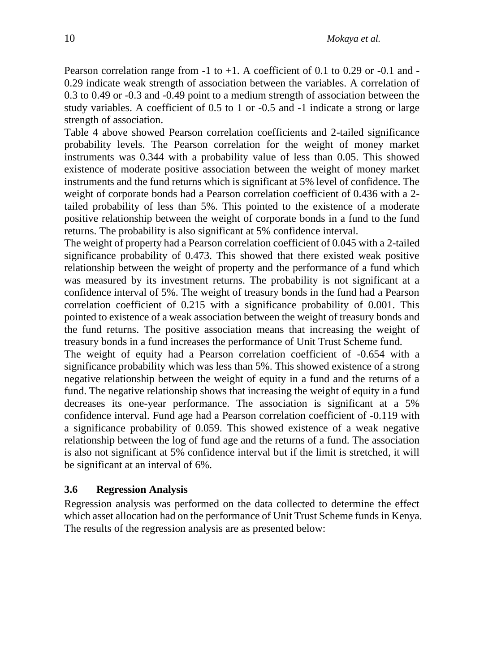Pearson correlation range from  $-1$  to  $+1$ . A coefficient of 0.1 to 0.29 or  $-0.1$  and  $-$ 0.29 indicate weak strength of association between the variables. A correlation of 0.3 to 0.49 or -0.3 and -0.49 point to a medium strength of association between the study variables. A coefficient of 0.5 to 1 or -0.5 and -1 indicate a strong or large strength of association.

Table 4 above showed Pearson correlation coefficients and 2-tailed significance probability levels. The Pearson correlation for the weight of money market instruments was 0.344 with a probability value of less than 0.05. This showed existence of moderate positive association between the weight of money market instruments and the fund returns which is significant at 5% level of confidence. The weight of corporate bonds had a Pearson correlation coefficient of 0.436 with a 2 tailed probability of less than 5%. This pointed to the existence of a moderate positive relationship between the weight of corporate bonds in a fund to the fund returns. The probability is also significant at 5% confidence interval.

The weight of property had a Pearson correlation coefficient of 0.045 with a 2-tailed significance probability of 0.473. This showed that there existed weak positive relationship between the weight of property and the performance of a fund which was measured by its investment returns. The probability is not significant at a confidence interval of 5%. The weight of treasury bonds in the fund had a Pearson correlation coefficient of 0.215 with a significance probability of 0.001. This pointed to existence of a weak association between the weight of treasury bonds and the fund returns. The positive association means that increasing the weight of treasury bonds in a fund increases the performance of Unit Trust Scheme fund.

The weight of equity had a Pearson correlation coefficient of -0.654 with a significance probability which was less than 5%. This showed existence of a strong negative relationship between the weight of equity in a fund and the returns of a fund. The negative relationship shows that increasing the weight of equity in a fund decreases its one-year performance. The association is significant at a 5% confidence interval. Fund age had a Pearson correlation coefficient of -0.119 with a significance probability of 0.059. This showed existence of a weak negative relationship between the log of fund age and the returns of a fund. The association is also not significant at 5% confidence interval but if the limit is stretched, it will be significant at an interval of 6%.

#### **3.6 Regression Analysis**

Regression analysis was performed on the data collected to determine the effect which asset allocation had on the performance of Unit Trust Scheme funds in Kenya. The results of the regression analysis are as presented below: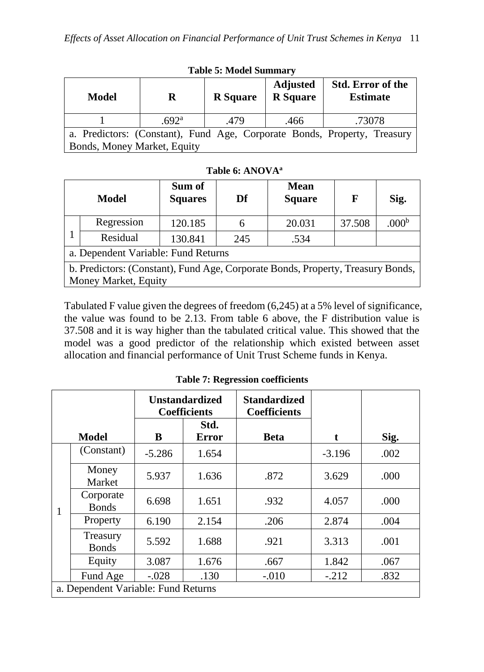| <b>Model</b>                                                             | R                 | <b>R</b> Square | <b>Adjusted</b><br><b>R</b> Square | <b>Std. Error of the</b><br><b>Estimate</b> |  |  |  |
|--------------------------------------------------------------------------|-------------------|-----------------|------------------------------------|---------------------------------------------|--|--|--|
|                                                                          | .692 <sup>a</sup> | .479            | .466                               | .73078                                      |  |  |  |
| a. Predictors: (Constant), Fund Age, Corporate Bonds, Property, Treasury |                   |                 |                                    |                                             |  |  |  |
| Bonds, Money Market, Equity                                              |                   |                 |                                    |                                             |  |  |  |

**Table 5: Model Summary**

**Table 6: ANOVA<sup>a</sup>**

|                                                                                 | <b>Model</b>         | Sum of<br><b>Squares</b> | Df  | <b>Mean</b><br><b>Square</b> | F      | Sig.           |  |  |
|---------------------------------------------------------------------------------|----------------------|--------------------------|-----|------------------------------|--------|----------------|--|--|
|                                                                                 | Regression           | 120.185                  | 6   | 20.031                       | 37.508 | $.000^{\rm b}$ |  |  |
|                                                                                 | Residual             | 130.841                  | 245 | .534                         |        |                |  |  |
| a. Dependent Variable: Fund Returns                                             |                      |                          |     |                              |        |                |  |  |
| b. Predictors: (Constant), Fund Age, Corporate Bonds, Property, Treasury Bonds, |                      |                          |     |                              |        |                |  |  |
|                                                                                 | Money Market, Equity |                          |     |                              |        |                |  |  |

Tabulated F value given the degrees of freedom (6,245) at a 5% level of significance, the value was found to be 2.13. From table 6 above, the F distribution value is 37.508 and it is way higher than the tabulated critical value. This showed that the model was a good predictor of the relationship which existed between asset allocation and financial performance of Unit Trust Scheme funds in Kenya.

|                                     |                           | <b>Unstandardized</b><br><b>Coefficients</b> |                      | <b>Standardized</b><br><b>Coefficients</b> |          |      |  |  |
|-------------------------------------|---------------------------|----------------------------------------------|----------------------|--------------------------------------------|----------|------|--|--|
|                                     | <b>Model</b>              | B                                            | Std.<br><b>Error</b> | <b>Beta</b>                                | t        | Sig. |  |  |
|                                     | (Constant)                | $-5.286$                                     | 1.654                |                                            | $-3.196$ | .002 |  |  |
| 1                                   | Money<br>Market           | 5.937                                        | 1.636                | .872                                       | 3.629    | .000 |  |  |
|                                     | Corporate<br><b>Bonds</b> | 6.698                                        | 1.651                | .932                                       | 4.057    | .000 |  |  |
|                                     | Property                  | 6.190                                        | 2.154                | .206                                       | 2.874    | .004 |  |  |
|                                     | Treasury<br><b>Bonds</b>  | 5.592                                        | 1.688                | .921                                       | 3.313    | .001 |  |  |
|                                     | Equity                    | 3.087                                        | 1.676                | .667                                       | 1.842    | .067 |  |  |
|                                     | Fund Age                  | $-.028$                                      | .130                 | $-.010$                                    | $-.212$  | .832 |  |  |
| a. Dependent Variable: Fund Returns |                           |                                              |                      |                                            |          |      |  |  |

**Table 7: Regression coefficients**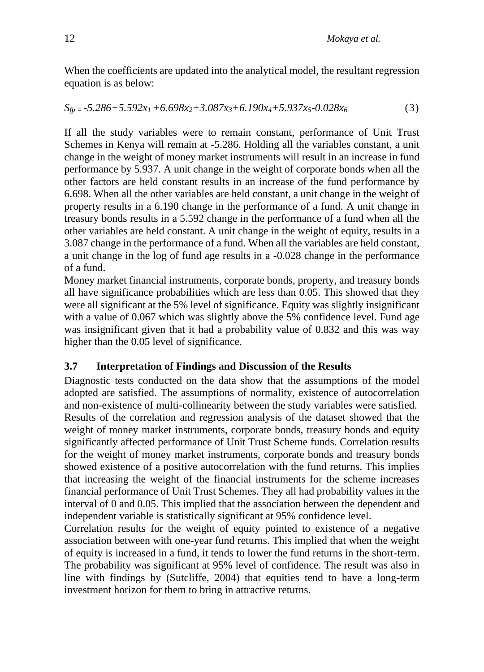When the coefficients are updated into the analytical model, the resultant regression equation is as below:

$$
S_{fp} = -5.286 + 5.592x_1 + 6.698x_2 + 3.087x_3 + 6.190x_4 + 5.937x_5 - 0.028x_6
$$
 (3)

If all the study variables were to remain constant, performance of Unit Trust Schemes in Kenya will remain at -5.286. Holding all the variables constant, a unit change in the weight of money market instruments will result in an increase in fund performance by 5.937. A unit change in the weight of corporate bonds when all the other factors are held constant results in an increase of the fund performance by 6.698. When all the other variables are held constant, a unit change in the weight of property results in a 6.190 change in the performance of a fund. A unit change in treasury bonds results in a 5.592 change in the performance of a fund when all the other variables are held constant. A unit change in the weight of equity, results in a 3.087 change in the performance of a fund. When all the variables are held constant, a unit change in the log of fund age results in a -0.028 change in the performance of a fund.

Money market financial instruments, corporate bonds, property, and treasury bonds all have significance probabilities which are less than 0.05. This showed that they were all significant at the 5% level of significance. Equity was slightly insignificant with a value of 0.067 which was slightly above the 5% confidence level. Fund age was insignificant given that it had a probability value of 0.832 and this was way higher than the 0.05 level of significance.

#### **3.7 Interpretation of Findings and Discussion of the Results**

Diagnostic tests conducted on the data show that the assumptions of the model adopted are satisfied. The assumptions of normality, existence of autocorrelation and non-existence of multi-collinearity between the study variables were satisfied. Results of the correlation and regression analysis of the dataset showed that the weight of money market instruments, corporate bonds, treasury bonds and equity significantly affected performance of Unit Trust Scheme funds. Correlation results for the weight of money market instruments, corporate bonds and treasury bonds showed existence of a positive autocorrelation with the fund returns. This implies that increasing the weight of the financial instruments for the scheme increases financial performance of Unit Trust Schemes. They all had probability values in the interval of 0 and 0.05. This implied that the association between the dependent and independent variable is statistically significant at 95% confidence level.

Correlation results for the weight of equity pointed to existence of a negative association between with one-year fund returns. This implied that when the weight of equity is increased in a fund, it tends to lower the fund returns in the short-term. The probability was significant at 95% level of confidence. The result was also in line with findings by (Sutcliffe, 2004) that equities tend to have a long-term investment horizon for them to bring in attractive returns.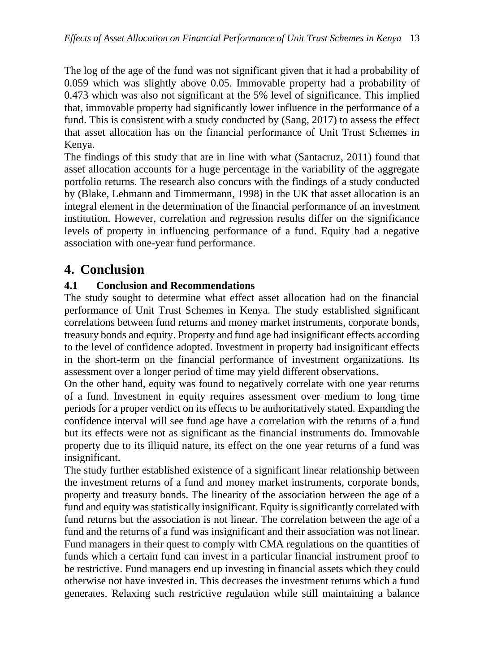The log of the age of the fund was not significant given that it had a probability of 0.059 which was slightly above 0.05. Immovable property had a probability of 0.473 which was also not significant at the 5% level of significance. This implied that, immovable property had significantly lower influence in the performance of a fund. This is consistent with a study conducted by (Sang, 2017) to assess the effect that asset allocation has on the financial performance of Unit Trust Schemes in Kenya.

The findings of this study that are in line with what (Santacruz, 2011) found that asset allocation accounts for a huge percentage in the variability of the aggregate portfolio returns. The research also concurs with the findings of a study conducted by (Blake, Lehmann and Timmermann, 1998) in the UK that asset allocation is an integral element in the determination of the financial performance of an investment institution. However, correlation and regression results differ on the significance levels of property in influencing performance of a fund. Equity had a negative association with one-year fund performance.

## **4. Conclusion**

### **4.1 Conclusion and Recommendations**

The study sought to determine what effect asset allocation had on the financial performance of Unit Trust Schemes in Kenya. The study established significant correlations between fund returns and money market instruments, corporate bonds, treasury bonds and equity. Property and fund age had insignificant effects according to the level of confidence adopted. Investment in property had insignificant effects in the short-term on the financial performance of investment organizations. Its assessment over a longer period of time may yield different observations.

On the other hand, equity was found to negatively correlate with one year returns of a fund. Investment in equity requires assessment over medium to long time periods for a proper verdict on its effects to be authoritatively stated. Expanding the confidence interval will see fund age have a correlation with the returns of a fund but its effects were not as significant as the financial instruments do. Immovable property due to its illiquid nature, its effect on the one year returns of a fund was insignificant.

The study further established existence of a significant linear relationship between the investment returns of a fund and money market instruments, corporate bonds, property and treasury bonds. The linearity of the association between the age of a fund and equity was statistically insignificant. Equity is significantly correlated with fund returns but the association is not linear. The correlation between the age of a fund and the returns of a fund was insignificant and their association was not linear. Fund managers in their quest to comply with CMA regulations on the quantities of funds which a certain fund can invest in a particular financial instrument proof to be restrictive. Fund managers end up investing in financial assets which they could otherwise not have invested in. This decreases the investment returns which a fund generates. Relaxing such restrictive regulation while still maintaining a balance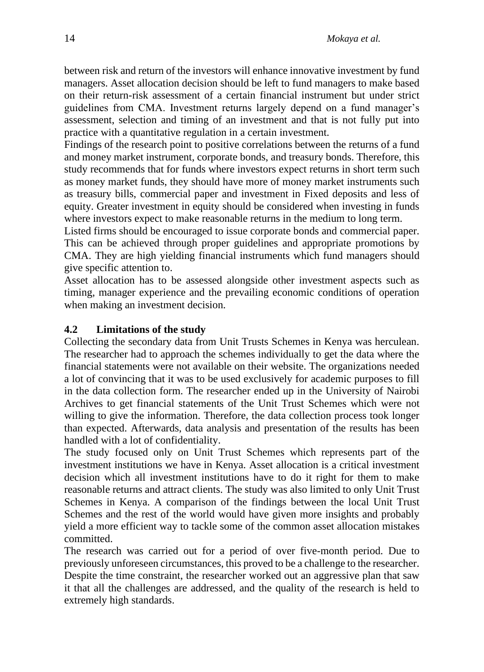between risk and return of the investors will enhance innovative investment by fund managers. Asset allocation decision should be left to fund managers to make based on their return-risk assessment of a certain financial instrument but under strict guidelines from CMA. Investment returns largely depend on a fund manager's assessment, selection and timing of an investment and that is not fully put into practice with a quantitative regulation in a certain investment.

Findings of the research point to positive correlations between the returns of a fund and money market instrument, corporate bonds, and treasury bonds. Therefore, this study recommends that for funds where investors expect returns in short term such as money market funds, they should have more of money market instruments such as treasury bills, commercial paper and investment in Fixed deposits and less of equity. Greater investment in equity should be considered when investing in funds where investors expect to make reasonable returns in the medium to long term.

Listed firms should be encouraged to issue corporate bonds and commercial paper. This can be achieved through proper guidelines and appropriate promotions by CMA. They are high yielding financial instruments which fund managers should give specific attention to.

Asset allocation has to be assessed alongside other investment aspects such as timing, manager experience and the prevailing economic conditions of operation when making an investment decision.

#### **4.2 Limitations of the study**

Collecting the secondary data from Unit Trusts Schemes in Kenya was herculean. The researcher had to approach the schemes individually to get the data where the financial statements were not available on their website. The organizations needed a lot of convincing that it was to be used exclusively for academic purposes to fill in the data collection form. The researcher ended up in the University of Nairobi Archives to get financial statements of the Unit Trust Schemes which were not willing to give the information. Therefore, the data collection process took longer than expected. Afterwards, data analysis and presentation of the results has been handled with a lot of confidentiality.

The study focused only on Unit Trust Schemes which represents part of the investment institutions we have in Kenya. Asset allocation is a critical investment decision which all investment institutions have to do it right for them to make reasonable returns and attract clients. The study was also limited to only Unit Trust Schemes in Kenya. A comparison of the findings between the local Unit Trust Schemes and the rest of the world would have given more insights and probably yield a more efficient way to tackle some of the common asset allocation mistakes committed.

The research was carried out for a period of over five-month period. Due to previously unforeseen circumstances, this proved to be a challenge to the researcher. Despite the time constraint, the researcher worked out an aggressive plan that saw it that all the challenges are addressed, and the quality of the research is held to extremely high standards.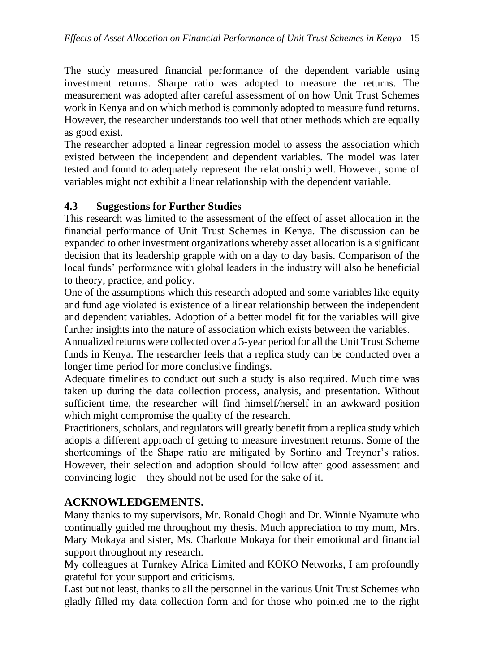The study measured financial performance of the dependent variable using investment returns. Sharpe ratio was adopted to measure the returns. The measurement was adopted after careful assessment of on how Unit Trust Schemes work in Kenya and on which method is commonly adopted to measure fund returns. However, the researcher understands too well that other methods which are equally as good exist.

The researcher adopted a linear regression model to assess the association which existed between the independent and dependent variables. The model was later tested and found to adequately represent the relationship well. However, some of variables might not exhibit a linear relationship with the dependent variable.

### **4.3 Suggestions for Further Studies**

This research was limited to the assessment of the effect of asset allocation in the financial performance of Unit Trust Schemes in Kenya. The discussion can be expanded to other investment organizations whereby asset allocation is a significant decision that its leadership grapple with on a day to day basis. Comparison of the local funds' performance with global leaders in the industry will also be beneficial to theory, practice, and policy.

One of the assumptions which this research adopted and some variables like equity and fund age violated is existence of a linear relationship between the independent and dependent variables. Adoption of a better model fit for the variables will give further insights into the nature of association which exists between the variables.

Annualized returns were collected over a 5-year period for all the Unit Trust Scheme funds in Kenya. The researcher feels that a replica study can be conducted over a longer time period for more conclusive findings.

Adequate timelines to conduct out such a study is also required. Much time was taken up during the data collection process, analysis, and presentation. Without sufficient time, the researcher will find himself/herself in an awkward position which might compromise the quality of the research.

Practitioners, scholars, and regulators will greatly benefit from a replica study which adopts a different approach of getting to measure investment returns. Some of the shortcomings of the Shape ratio are mitigated by Sortino and Treynor's ratios. However, their selection and adoption should follow after good assessment and convincing logic – they should not be used for the sake of it.

### **ACKNOWLEDGEMENTS.**

Many thanks to my supervisors, Mr. Ronald Chogii and Dr. Winnie Nyamute who continually guided me throughout my thesis. Much appreciation to my mum, Mrs. Mary Mokaya and sister, Ms. Charlotte Mokaya for their emotional and financial support throughout my research.

My colleagues at Turnkey Africa Limited and KOKO Networks, I am profoundly grateful for your support and criticisms.

Last but not least, thanks to all the personnel in the various Unit Trust Schemes who gladly filled my data collection form and for those who pointed me to the right